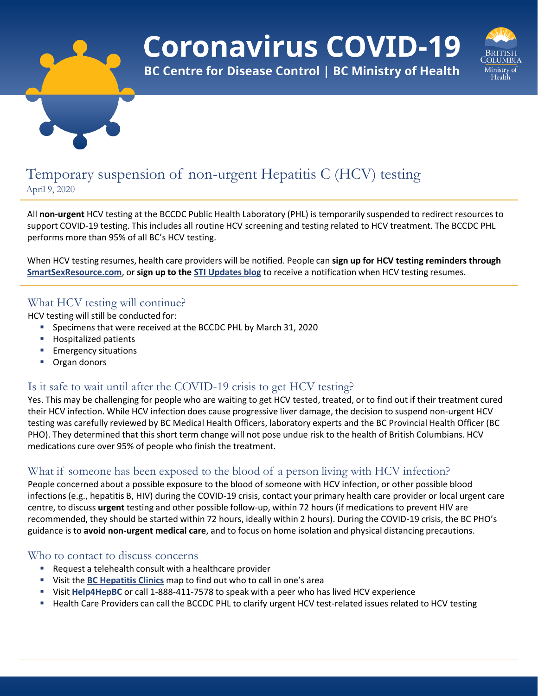

**Coronavirus COVID-19** 

**BC Centre for Disease Control | BC Ministry of Health** 



# Temporary suspension of non-urgent Hepatitis C (HCV) testing April 9, 2020

All **non-urgent** HCV testing at the BCCDC Public Health Laboratory (PHL) is temporarily suspended to redirect resources to support COVID-19 testing. This includes all routine HCV screening and testing related to HCV treatment. The BCCDC PHL performs more than 95% of all BC's HCV testing.

When HCV testing resumes, health care providers will be notified. People can **sign up for HCV testing reminders through [SmartSexResource.com](http://www.smartsexresource.com/get-tested/testing-reminders)**, or **sign up to the [STI Updates blog](https://smartsexresource.com/health-providers/blog)** to receive a notification when HCV testing resumes.

## What HCV testing will continue?

HCV testing will still be conducted for:

- Specimens that were received at the BCCDC PHL by March 31, 2020
- **Hospitalized patients**
- **Emergency situations**
- **Organ donors**

## Is it safe to wait until after the COVID-19 crisis to get HCV testing?

Yes. This may be challenging for people who are waiting to get HCV tested, treated, or to find out if their treatment cured their HCV infection. While HCV infection does cause progressive liver damage, the decision to suspend non-urgent HCV testing was carefully reviewed by BC Medical Health Officers, laboratory experts and the BC Provincial Health Officer (BC PHO). They determined that this short term change will not pose undue risk to the health of British Columbians. HCV medications cure over 95% of people who finish the treatment.

## What if someone has been exposed to the blood of a person living with HCV infection?

People concerned about a possible exposure to the blood of someone with HCV infection, or other possible blood infections (e.g., hepatitis B, HIV) during the COVID-19 crisis, contact your primary health care provider or local urgent care centre, to discuss **urgent** testing and other possible follow-up, within 72 hours (if medications to prevent HIV are recommended, they should be started within 72 hours, ideally within 2 hours). During the COVID-19 crisis, the BC PHO's guidance is to **avoid non-urgent medical care**, and to focus on home isolation and physical distancing precautions.

### Who to contact to discuss concerns

- **Request a telehealth consult with a healthcare provider**
- Visit the **[BC Hepatitis Clinics](http://www.bccdc.ca/health-info/prevention-public-health/bc-hepatitis-clinic)** map to find out who to call in one's area
- **Visit [Help4HepBC](http://www.help4hepbc.ca/)** or call 1-888-411-7578 to speak with a peer who has lived HCV experience
- Health Care Providers can call the BCCDC PHL to clarify urgent HCV test-related issues related to HCV testing